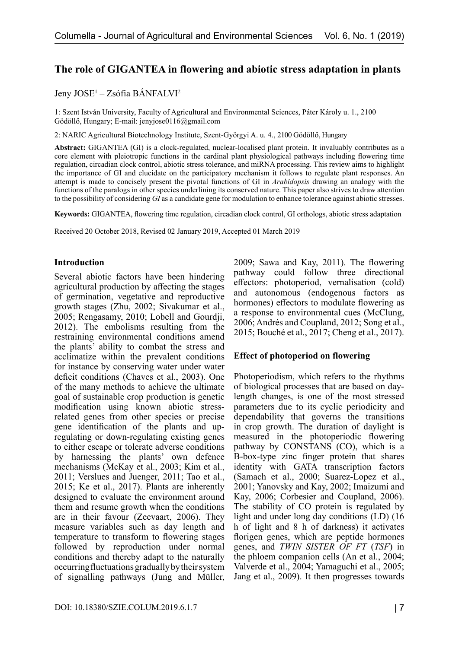# **The role of GIGANTEA in flowering and abiotic stress adaptation in plants**

## Jeny JOSE<sup>1</sup> – Zsófia BÁNFALVI<sup>2</sup>

1: Szent István University, Faculty of Agricultural and Environmental Sciences, Páter Károly u. 1., 2100 Gödöllő, Hungary; E-mail: [jenyjose0116@gmail.com](mailto:jenyjose0116@gmail.com)

2: NARIC Agricultural Biotechnology Institute, Szent-Györgyi A. u. 4., 2100 Gödöllő, Hungary

**Abstract:** GIGANTEA (GI) is a clock-regulated, nuclear-localised plant protein. It invaluably contributes as a core element with pleiotropic functions in the cardinal plant physiological pathways including flowering time regulation, circadian clock control, abiotic stress tolerance, and miRNA processing. This review aims to highlight the importance of GI and elucidate on the participatory mechanism it follows to regulate plant responses. An attempt is made to concisely present the pivotal functions of GI in *Arabidopsis* drawing an analogy with the functions of the paralogs in other species underlining its conserved nature. This paper also strives to draw attention to the possibility of considering *GI* as a candidate gene for modulation to enhance tolerance against abiotic stresses.

**Keywords:** GIGANTEA, flowering time regulation, circadian clock control, GI orthologs, abiotic stress adaptation

Received 20 October 2018, Revised 02 January 2019, Accepted 01 March 2019

## **Introduction**

Several abiotic factors have been hindering agricultural production by affecting the stages of germination, vegetative and reproductive growth stages (Zhu, 2002; Sivakumar et al., 2005; Rengasamy, 2010; Lobell and Gourdji, 2012). The embolisms resulting from the restraining environmental conditions amend the plants' ability to combat the stress and acclimatize within the prevalent conditions for instance by conserving water under water deficit conditions (Chaves et al., 2003). One of the many methods to achieve the ultimate goal of sustainable crop production is genetic modification using known abiotic stressrelated genes from other species or precise gene identification of the plants and upregulating or down-regulating existing genes to either escape or tolerate adverse conditions by harnessing the plants' own defence mechanisms (McKay et al., 2003; Kim et al., 2011; Verslues and Juenger, 2011; Tao et al., 2015; Ke et al., 2017). Plants are inherently designed to evaluate the environment around them and resume growth when the conditions are in their favour (Zeevaart, 2006). They measure variables such as day length and temperature to transform to flowering stages followed by reproduction under normal conditions and thereby adapt to the naturally occurring fluctuations gradually by their system of signalling pathways (Jung and Müller,

2009; Sawa and Kay, 2011). The flowering pathway could follow three directional effectors: photoperiod, vernalisation (cold) and autonomous (endogenous factors as hormones) effectors to modulate flowering as a response to environmental cues (McClung, 2006; Andrés and Coupland, 2012; Song et al., 2015; Bouché et al., 2017; Cheng et al., 2017).

#### **Effect of photoperiod on flowering**

Photoperiodism, which refers to the rhythms of biological processes that are based on daylength changes, is one of the most stressed parameters due to its cyclic periodicity and dependability that governs the transitions in crop growth. The duration of daylight is measured in the photoperiodic flowering pathway by CONSTANS (CO), which is a B-box-type zinc finger protein that shares identity with GATA transcription factors (Samach et al., 2000; Suarez-Lopez et al., 2001; Yanovsky and Kay, 2002; Imaizumi and Kay, 2006; Corbesier and Coupland, 2006). The stability of CO protein is regulated by light and under long day conditions (LD) (16 h of light and 8 h of darkness) it activates florigen genes, which are peptide hormones genes, and *TWIN SISTER OF FT* (*TSF*) in the phloem companion cells (An et al., 2004; Valverde et al., 2004; Yamaguchi et al., 2005; Jang et al., 2009). It then progresses towards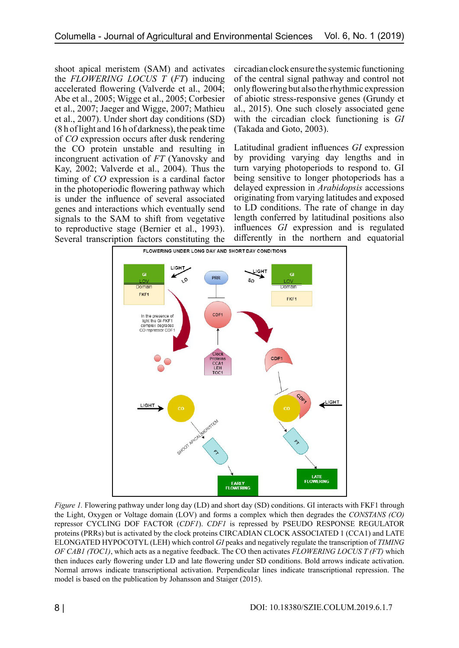shoot apical meristem (SAM) and activates the *FLOWERING LOCUS T* (*FT*) inducing accelerated flowering (Valverde et al., 2004; Abe et al., 2005; Wigge et al., 2005; Corbesier et al., 2007; Jaeger and Wigge, 2007; Mathieu et al., 2007). Under short day conditions (SD) (8 h of light and 16 h of darkness), the peak time of *CO* expression occurs after dusk rendering the CO protein unstable and resulting in incongruent activation of *FT* (Yanovsky and Kay, 2002; Valverde et al., 2004). Thus the timing of *CO* expression is a cardinal factor in the photoperiodic flowering pathway which is under the influence of several associated genes and interactions which eventually send signals to the SAM to shift from vegetative to reproductive stage (Bernier et al., 1993). Several transcription factors constituting the circadian clock ensure the systemic functioning of the central signal pathway and control not only flowering but also the rhythmic expression of abiotic stress-responsive genes (Grundy et al., 2015). One such closely associated gene with the circadian clock functioning is *GI* (Takada and Goto, 2003).

Latitudinal gradient influences *GI* expression by providing varying day lengths and in turn varying photoperiods to respond to. GI being sensitive to longer photoperiods has a delayed expression in *Arabidopsis* accessions originating from varying latitudes and exposed to LD conditions. The rate of change in day length conferred by latitudinal positions also influences *GI* expression and is regulated differently in the northern and equatorial



*Figure 1.* Flowering pathway under long day (LD) and short day (SD) conditions. GI interacts with FKF1 through the Light, Oxygen or Voltage domain (LOV) and forms a complex which then degrades the *CONSTANS (CO)* repressor CYCLING DOF FACTOR (*CDF1*). *CDF1* is repressed by PSEUDO RESPONSE REGULATOR proteins (PRRs) but is activated by the clock proteins CIRCADIAN CLOCK ASSOCIATED 1 (CCA1) and LATE ELONGATED HYPOCOTYL (LEH) which control *GI* peaks and negatively regulate the transcription of *TIMING OF CAB1 (TOC1)*, which acts as a negative feedback. The CO then activates *FLOWERING LOCUS T (FT)* which then induces early flowering under LD and late flowering under SD conditions. Bold arrows indicate activation. Normal arrows indicate transcriptional activation. Perpendicular lines indicate transcriptional repression. The model is based on the publication by Johansson and Staiger (2015).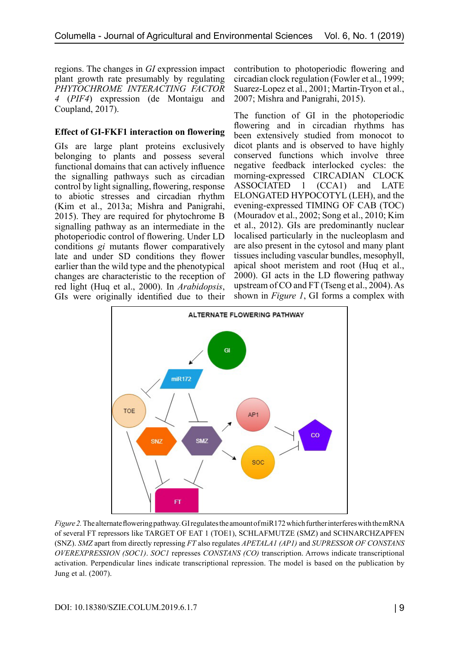regions. The changes in *GI* expression impact plant growth rate presumably by regulating *PHYTOCHROME INTERACTING FACTOR 4* (*PIF4*) expression (de Montaigu and Coupland, 2017).

### **Effect of GI-FKF1 interaction on flowering**

GIs are large plant proteins exclusively belonging to plants and possess several functional domains that can actively influence the signalling pathways such as circadian control by light signalling, flowering, response to abiotic stresses and circadian rhythm (Kim et al., 2013a; Mishra and Panigrahi, 2015). They are required for phytochrome B signalling pathway as an intermediate in the photoperiodic control of flowering. Under LD conditions *gi* mutants flower comparatively late and under SD conditions they flower earlier than the wild type and the phenotypical changes are characteristic to the reception of red light (Huq et al., 2000). In *Arabidopsis*, GIs were originally identified due to their

contribution to photoperiodic flowering and circadian clock regulation (Fowler et al., 1999; Suarez-Lopez et al., 2001; Martin-Tryon et al., 2007; Mishra and Panigrahi, 2015).

The function of GI in the photoperiodic flowering and in circadian rhythms has been extensively studied from monocot to dicot plants and is observed to have highly conserved functions which involve three negative feedback interlocked cycles: the morning-expressed CIRCADIAN CLOCK ASSOCIATED 1 (CCA1) and LATE ELONGATED HYPOCOTYL (LEH), and the evening-expressed TIMING OF CAB (TOC) (Mouradov et al., 2002; Song et al., 2010; Kim et al., 2012). GIs are predominantly nuclear localised particularly in the nucleoplasm and are also present in the cytosol and many plant tissues including vascular bundles, mesophyll, apical shoot meristem and root (Huq et al., 2000). GI acts in the LD flowering pathway upstream of CO and FT (Tseng et al., 2004). As shown in *Figure 1*, GI forms a complex with



*Figure 2.* The alternate flowering pathway. GI regulates the amount of miR172 which further interferes with the mRNA of several FT repressors like TARGET OF EAT 1 (TOE1), SCHLAFMUTZE (SMZ) and SCHNARCHZAPFEN (SNZ). *SMZ* apart from directly repressing *FT* also regulates *APETALA1 (AP1)* and *SUPRESSOR OF CONSTANS OVEREXPRESSION (SOC1)*. *SOC1* represses *CONSTANS (CO)* transcription. Arrows indicate transcriptional activation. Perpendicular lines indicate transcriptional repression. The model is based on the publication by Jung et al. (2007).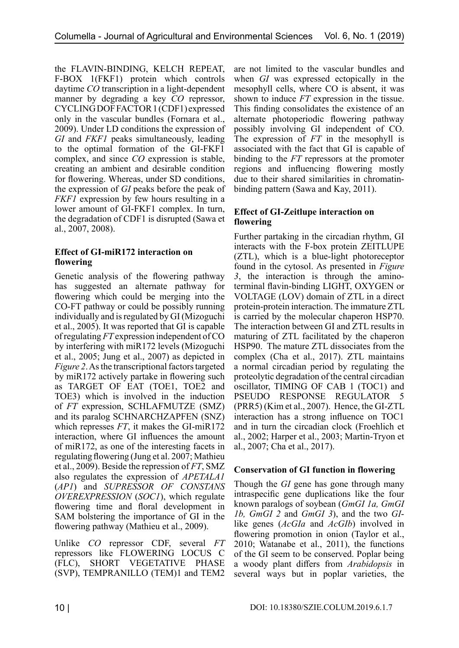the FLAVIN-BINDING, KELCH REPEAT, F-BOX 1(FKF1) protein which controls daytime *CO* transcription in a light-dependent manner by degrading a key *CO* repressor, CYCLING DOF FACTOR 1 (CDF1) expressed only in the vascular bundles (Fornara et al., 2009). Under LD conditions the expression of *GI* and *FKF1* peaks simultaneously, leading to the optimal formation of the GI-FKF1 complex, and since *CO* expression is stable, creating an ambient and desirable condition for flowering. Whereas, under SD conditions, the expression of *GI* peaks before the peak of *FKF1* expression by few hours resulting in a lower amount of GI-FKF1 complex. In turn, the degradation of CDF1 is disrupted (Sawa et al., 2007, 2008).

## **Effect of GI-miR172 interaction on flowering**

Genetic analysis of the flowering pathway has suggested an alternate pathway for flowering which could be merging into the CO-FT pathway or could be possibly running individually and is regulated by GI (Mizoguchi et al., 2005). It was reported that GI is capable of regulating *FT* expression independent of CO by interfering with miR172 levels (Mizoguchi et al., 2005; Jung et al., 2007) as depicted in *Figure 2*. As the transcriptional factors targeted by miR172 actively partake in flowering such as TARGET OF EAT (TOE1, TOE2 and TOE3) which is involved in the induction of *FT* expression, SCHLAFMUTZE (SMZ) and its paralog SCHNARCHZAPFEN (SNZ) which represses *FT*, it makes the GI-miR172 interaction, where GI influences the amount of miR172, as one of the interesting facets in regulating flowering (Jung et al. 2007; Mathieu et al., 2009). Beside the repression of *FT*, SMZ also regulates the expression of *APETALA1* (*AP1*) and *SUPRESSOR OF CONSTANS OVEREXPRESSION* (*SOC1*), which regulate flowering time and floral development in SAM bolstering the importance of GI in the flowering pathway (Mathieu et al., 2009).

Unlike *CO* repressor CDF, several *FT* repressors like FLOWERING LOCUS C (FLC), SHORT VEGETATIVE PHASE (SVP), TEMPRANILLO (TEM)1 and TEM2

are not limited to the vascular bundles and when *GI* was expressed ectopically in the mesophyll cells, where CO is absent, it was shown to induce *FT* expression in the tissue. This finding consolidates the existence of an alternate photoperiodic flowering pathway possibly involving GI independent of CO. The expression of *FT* in the mesophyll is associated with the fact that GI is capable of binding to the *FT* repressors at the promoter regions and influencing flowering mostly due to their shared similarities in chromatinbinding pattern (Sawa and Kay, 2011).

## **Effect of GI-Zeitlupe interaction on flowering**

Further partaking in the circadian rhythm, GI interacts with the F-box protein ZEITLUPE (ZTL), which is a blue-light photoreceptor found in the cytosol. As presented in *Figure 3*, the interaction is through the aminoterminal flavin-binding LIGHT, OXYGEN or VOLTAGE (LOV) domain of ZTL in a direct protein-protein interaction. The immature ZTL is carried by the molecular chaperon HSP70. The interaction between GI and ZTL results in maturing of ZTL facilitated by the chaperon HSP90. The mature ZTL dissociates from the complex (Cha et al., 2017). ZTL maintains a normal circadian period by regulating the proteolytic degradation of the central circadian oscillator, TIMING OF CAB 1 (TOC1) and PSEUDO RESPONSE REGULATOR (PRR5) (Kim et al., 2007). Hence, the GI-ZTL interaction has a strong influence on TOC1 and in turn the circadian clock (Froehlich et al., 2002; Harper et al., 2003; Martin-Tryon et al., 2007; Cha et al., 2017).

## **Conservation of GI function in flowering**

Though the *GI* gene has gone through many intraspecific gene duplications like the four known paralogs of soybean (*GmGI 1a, GmGI 1b, GmGI 2* and *GmGI 3*), and the two *GI*like genes (*AcGIa* and *AcGIb*) involved in flowering promotion in onion (Taylor et al., 2010; Watanabe et al., 2011), the functions of the GI seem to be conserved. Poplar being a woody plant differs from *Arabidopsis* in several ways but in poplar varieties, the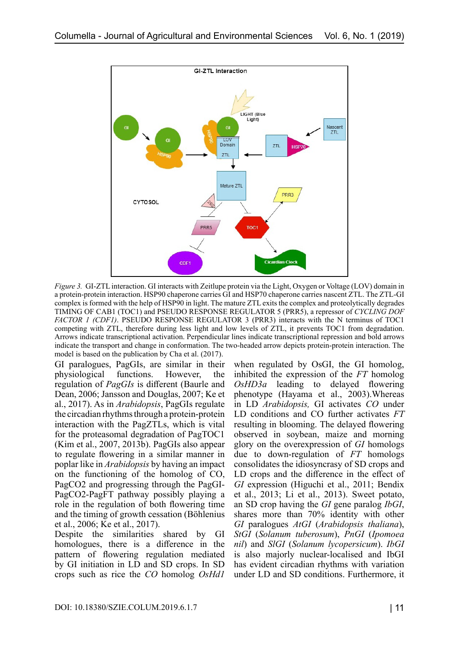

*Figure 3.* GI-ZTL interaction. GI interacts with Zeitlupe protein via the Light, Oxygen or Voltage (LOV) domain in a protein-protein interaction. HSP90 chaperone carries GI and HSP70 chaperone carries nascent ZTL. The ZTL-GI complex is formed with the help of HSP90 in light. The mature ZTL exits the complex and proteolytically degrades TIMING OF CAB1 (TOC1) and PSEUDO RESPONSE REGULATOR 5 (PRR5), a repressor of *CYCLING DOF FACTOR 1 (CDF1)*. PSEUDO RESPONSE REGULATOR 3 (PRR3) interacts with the N terminus of TOC1 competing with ZTL, therefore during less light and low levels of ZTL, it prevents TOC1 from degradation. Arrows indicate transcriptional activation. Perpendicular lines indicate transcriptional repression and bold arrows indicate the transport and change in conformation. The two-headed arrow depicts protein-protein interaction. The model is based on the publication by Cha et al. (2017).

GI paralogues, PagGIs, are similar in their physiological functions. However, the regulation of *PagGIs* is different (Baurle and Dean, 2006; Jansson and Douglas, 2007; Ke et al., 2017). As in *Arabidopsis*, PagGIs regulate the circadian rhythms through a protein-protein interaction with the PagZTLs, which is vital for the proteasomal degradation of PagTOC1 (Kim et al., 2007, 2013b). PagGIs also appear to regulate flowering in a similar manner in poplar like in *Arabidopsis* by having an impact on the functioning of the homolog of CO, PagCO2 and progressing through the PagGI-PagCO2-PagFT pathway possibly playing a role in the regulation of both flowering time and the timing of growth cessation (Böhlenius et al., 2006; Ke et al., 2017).

Despite the similarities shared by GI homologues, there is a difference in the pattern of flowering regulation mediated by GI initiation in LD and SD crops. In SD crops such as rice the *CO* homolog *OsHd1*

when regulated by OsGI, the GI homolog, inhibited the expression of the *FT* homolog *OsHD3a* leading to delayed flowering phenotype (Hayama et al., 2003).Whereas in LD *Arabidopsis,* GI activates *CO* under LD conditions and CO further activates *FT*  resulting in blooming. The delayed flowering observed in soybean, maize and morning glory on the overexpression of *GI* homologs due to down-regulation of *FT* homologs consolidates the idiosyncrasy of SD crops and LD crops and the difference in the effect of *GI* expression (Higuchi et al., 2011; Bendix et al., 2013; Li et al., 2013). Sweet potato, an SD crop having the *GI* gene paralog *IbGI*, shares more than 70% identity with other *GI* paralogues *AtGI* (*Arabidopsis thaliana*), *StGI* (*Solanum tuberosum*), *PnGI* (*Ipomoea nil*) and *SlGI* (*Solanum lycopersicum*). *IbGI* is also majorly nuclear-localised and IbGI has evident circadian rhythms with variation under LD and SD conditions. Furthermore, it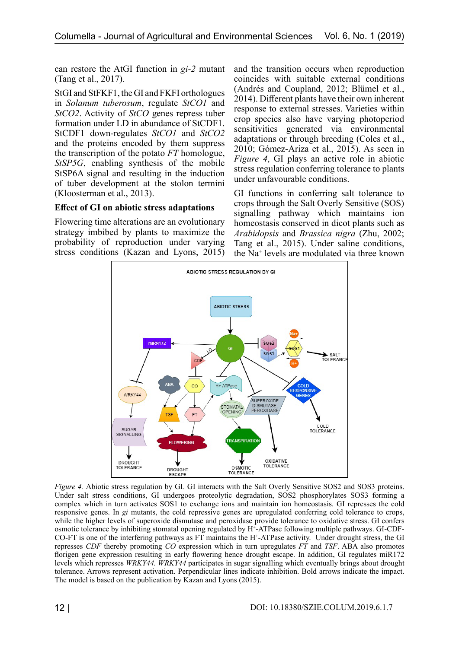can restore the AtGI function in *gi-2* mutant (Tang et al., 2017).

StGI and StFKF1, the GI and FKFI orthologues in *Solanum tuberosum*, regulate *StCO1* and *StCO2*. Activity of *StCO* genes repress tuber formation under LD in abundance of StCDF1. StCDF1 down-regulates *StCO1* and *StCO2* and the proteins encoded by them suppress the transcription of the potato *FT* homologue, *StSP5G*, enabling synthesis of the mobile StSP6A signal and resulting in the induction of tuber development at the stolon termini (Kloosterman et al., 2013).

## **Effect of GI on abiotic stress adaptations**

Flowering time alterations are an evolutionary strategy imbibed by plants to maximize the probability of reproduction under varying stress conditions (Kazan and Lyons, 2015) and the transition occurs when reproduction coincides with suitable external conditions (Andrés and Coupland, 2012; Blümel et al., 2014). Different plants have their own inherent response to external stresses. Varieties within crop species also have varying photoperiod sensitivities generated via environmental adaptations or through breeding (Coles et al., 2010; Gómez-Ariza et al., 2015). As seen in *Figure 4*, GI plays an active role in abiotic stress regulation conferring tolerance to plants under unfavourable conditions.

GI functions in conferring salt tolerance to crops through the Salt Overly Sensitive (SOS) signalling pathway which maintains ion homeostasis conserved in dicot plants such as *Arabidopsis* and *Brassica nigra* (Zhu, 2002; Tang et al., 2015). Under saline conditions, the Na+ levels are modulated via three known



*Figure 4.* Abiotic stress regulation by GI. GI interacts with the Salt Overly Sensitive SOS2 and SOS3 proteins. Under salt stress conditions, GI undergoes proteolytic degradation, SOS2 phosphorylates SOS3 forming a complex which in turn activates SOS1 to exchange ions and maintain ion homeostasis. GI represses the cold responsive genes. In *gi* mutants, the cold repressive genes are upregulated conferring cold tolerance to crops, while the higher levels of superoxide dismutase and peroxidase provide tolerance to oxidative stress. GI confers osmotic tolerance by inhibiting stomatal opening regulated by H<sup>+</sup> -ATPase following multiple pathways. GI-CDF-CO-FT is one of the interfering pathways as FT maintains the H<sup>+</sup> -ATPase activity. Under drought stress, the GI represses *CDF* thereby promoting *CO* expression which in turn upregulates *FT* and *TSF*. ABA also promotes florigen gene expression resulting in early flowering hence drought escape. In addition, GI regulates miR172 levels which represses *WRKY44. WRKY44* participates in sugar signalling which eventually brings about drought tolerance. Arrows represent activation. Perpendicular lines indicate inhibition. Bold arrows indicate the impact. The model is based on the publication by Kazan and Lyons (2015).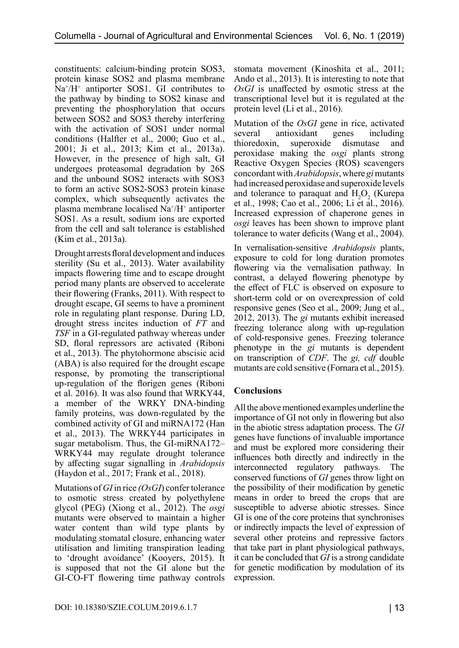constituents: calcium-binding protein SOS3, protein kinase SOS2 and plasma membrane Na+ /H<sup>+</sup> antiporter SOS1. GI contributes to the pathway by binding to SOS2 kinase and preventing the phosphorylation that occurs between SOS2 and SOS3 thereby interfering with the activation of SOS1 under normal conditions (Halfter et al., 2000; Guo et al., 2001; Ji et al., 2013; Kim et al., 2013a). However, in the presence of high salt, GI undergoes proteasomal degradation by 26S and the unbound SOS2 interacts with SOS3 to form an active SOS2-SOS3 protein kinase complex, which subsequently activates the plasma membrane localised Na<sup>+</sup>/H<sup>+</sup> antiporter SOS1. As a result, sodium ions are exported from the cell and salt tolerance is established (Kim et al., 2013a).

Drought arrests floral development and induces sterility (Su et al., 2013). Water availability impacts flowering time and to escape drought period many plants are observed to accelerate their flowering (Franks, 2011). With respect to drought escape, GI seems to have a prominent role in regulating plant response. During LD, drought stress incites induction of *FT* and *TSF* in a GI-regulated pathway whereas under SD, floral repressors are activated (Riboni et al., 2013). The phytohormone abscisic acid (ABA) is also required for the drought escape response, by promoting the transcriptional up-regulation of the florigen genes (Riboni et al. 2016). It was also found that WRKY44, a member of the WRKY DNA-binding family proteins, was down-regulated by the combined activity of GI and miRNA172 (Han et al., 2013). The WRKY44 participates in sugar metabolism. Thus, the GI-miRNA172– WRKY44 may regulate drought tolerance by affecting sugar signalling in *Arabidopsis*  (Haydon et al., 2017; Frank et al., 2018).

Mutations of *GI* in rice *(OsGI*) confer tolerance to osmotic stress created by polyethylene glycol (PEG) (Xiong et al., 2012). The *osgi*  mutants were observed to maintain a higher water content than wild type plants by modulating stomatal closure, enhancing water utilisation and limiting transpiration leading to 'drought avoidance' (Kooyers, 2015). It is supposed that not the GI alone but the GI-CO-FT flowering time pathway controls stomata movement (Kinoshita et al., 2011; Ando et al., 2013). It is interesting to note that *OsGI* is unaffected by osmotic stress at the transcriptional level but it is regulated at the protein level (Li et al., 2016).

Mutation of the *OsGI* gene in rice, activated several antioxidant genes including thioredoxin, superoxide dismutase and peroxidase making the *osgi* plants strong Reactive Oxygen Species (ROS) scavengers concordant with *Arabidopsis*, where *gi* mutants had increased peroxidase and superoxide levels and tolerance to paraquat and  $H_2O_2$  (Kurepa et al., 1998; Cao et al., 2006; Li et al., 2016). Increased expression of chaperone genes in *osgi* leaves has been shown to improve plant tolerance to water deficits (Wang et al., 2004).

In vernalisation-sensitive *Arabidopsis* plants, exposure to cold for long duration promotes flowering via the vernalisation pathway. In contrast, a delayed flowering phenotype by the effect of FLC is observed on exposure to short-term cold or on overexpression of cold responsive genes (Seo et al., 2009; Jung et al., 2012, 2013). The *gi* mutants exhibit increased freezing tolerance along with up-regulation of cold-responsive genes. Freezing tolerance phenotype in the *gi* mutants is dependent on transcription of *CDF*. The *gi, cdf* double mutants are cold sensitive (Fornara et al., 2015).

## **Conclusions**

All the above mentioned examples underline the importance of GI not only in flowering but also in the abiotic stress adaptation process. The *GI* genes have functions of invaluable importance and must be explored more considering their influences both directly and indirectly in the interconnected regulatory pathways. The conserved functions of *GI* genes throw light on the possibility of their modification by genetic means in order to breed the crops that are susceptible to adverse abiotic stresses. Since GI is one of the core proteins that synchronises or indirectly impacts the level of expression of several other proteins and repressive factors that take part in plant physiological pathways, it can be concluded that *GI* is a strong candidate for genetic modification by modulation of its expression.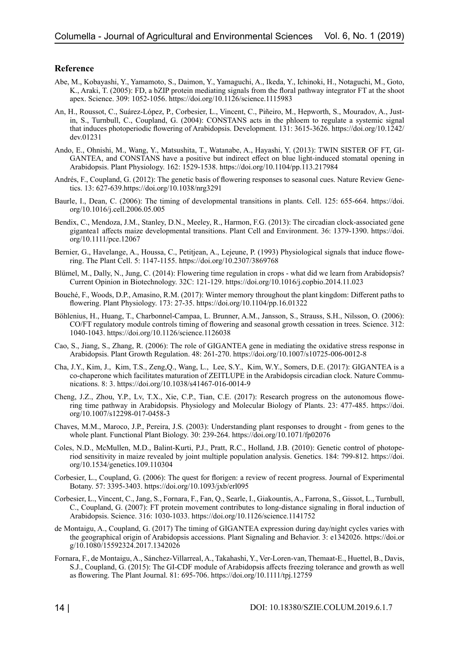#### **Reference**

- Abe, M., Kobayashi, Y., Yamamoto, S., Daimon, Y., Yamaguchi, A., Ikeda, Y., Ichinoki, H., Notaguchi, M., Goto, K., Araki, T. (2005): FD, a bZIP protein mediating signals from the floral pathway integrator FT at the shoot apex. Science. 309: 1052-1056. https://doi.org/10.1126/science.1115983
- An, H., Roussot, C., Suárez-López, P., Corbesier, L., Vincent, C., Piñeiro, M., Hepworth, S., Mouradov, A., Justin, S., Turnbull, C., Coupland, G. (2004): CONSTANS acts in the phloem to regulate a systemic signal that induces photoperiodic flowering of Arabidopsis. Development. 131: 3615-3626. https://doi.org/10.1242/ dev.01231
- Ando, E., Ohnishi, M., Wang, Y., Matsushita, T., Watanabe, A., Hayashi, Y. (2013): TWIN SISTER OF FT, GI-GANTEA, and CONSTANS have a positive but indirect effect on blue light-induced stomatal opening in Arabidopsis. Plant Physiology. 162: 1529-1538. https://doi.org/10.1104/pp.113.217984
- Andrés, F., Coupland, G. (2012): The genetic basis of flowering responses to seasonal cues. Nature Review Genetics. 13: 627-639.https://doi.org/10.1038/nrg3291
- Baurle, I., Dean, C. (2006): The timing of developmental transitions in plants. Cell. 125: 655-664. https://doi. org/10.1016/j.cell.2006.05.005
- Bendix, C., Mendoza, J.M., Stanley, D.N., Meeley, R., Harmon, F.G. (2013): The circadian clock‐associated gene gigantea1 affects maize developmental transitions. Plant Cell and Environment. 36: 1379-1390. https://doi. org/10.1111/pce.12067
- Bernier, G., Havelange, A., Houssa, C., Petitjean, A., Lejeune, P. (1993) Physiological signals that induce flowering. The Plant Cell. 5: 1147-1155. https://doi.org/10.2307/3869768
- Blümel, M., Dally, N., Jung, C. (2014): Flowering time regulation in crops what did we learn from Arabidopsis? Current Opinion in Biotechnology. 32C: 121-129. https://doi.org/10.1016/j.copbio.2014.11.023
- Bouché, F., Woods, D.P., Amasino, R.M. (2017): Winter memory throughout the plant kingdom: Different paths to flowering. Plant Physiology. 173: 27-35. https://doi.org/10.1104/pp.16.01322
- Böhlenius, H., Huang, T., Charbonnel-Campaa, L. Brunner, A.M., Jansson, S., Strauss, S.H., Nilsson, O. (2006): CO/FT regulatory module controls timing of flowering and seasonal growth cessation in trees. Science. 312: 1040-1043. https://doi.org/10.1126/science.1126038
- Cao, S., Jiang, S., Zhang, R. (2006): The role of GIGANTEA gene in mediating the oxidative stress response in Arabidopsis. Plant Growth Regulation. 48: 261-270. https://doi.org/10.1007/s10725-006-0012-8
- Cha, J.Y., Kim, J., Kim, T.S., Zeng,Q., Wang, L., Lee, S.Y., Kim, W.Y., Somers, D.E. (2017): GIGANTEA is a co-chaperone which facilitates maturation of ZEITLUPE in the Arabidopsis circadian clock. Nature Communications. 8: 3. https://doi.org/10.1038/s41467-016-0014-9
- Cheng, J.Z., Zhou, Y.P., Lv, T.X., Xie, C.P., Tian, C.E. (2017): Research progress on the autonomous flowering time pathway in Arabidopsis. Physiology and Molecular Biology of Plants. 23: 477-485. https://doi. org/10.1007/s12298-017-0458-3
- Chaves, M.M., Maroco, J.P., Pereira, J.S. (2003): Understanding plant responses to drought from genes to the whole plant. Functional Plant Biology. 30: 239-264. https://doi.org/10.1071/fp02076
- Coles, N.D., McMullen, M.D., Balint-Kurti, P.J., Pratt, R.C., Holland, J.B. (2010): Genetic control of photoperiod sensitivity in maize revealed by joint multiple population analysis. Genetics. 184: 799-812. https://doi. org/10.1534/genetics.109.110304
- Corbesier, L., Coupland, G. (2006): The quest for florigen: a review of recent progress. Journal of Experimental Botany. 57: 3395-3403. https://doi.org/10.1093/jxb/erl095
- Corbesier, L., Vincent, C., Jang, S., Fornara, F., Fan, Q., Searle, I., Giakountis, A., Farrona, S., Gissot, L., Turnbull, C., Coupland, G. (2007): FT protein movement contributes to long-distance signaling in floral induction of Arabidopsis. Science. 316: 1030-1033. https://doi.org/10.1126/science.1141752
- de Montaigu, A., Coupland, G. (2017) The timing of GIGANTEA expression during day/night cycles varies with the geographical origin of Arabidopsis accessions. Plant Signaling and Behavior. 3: e1342026. https://doi.or g/10.1080/15592324.2017.1342026
- Fornara, F., de Montaigu, A., Sánchez-Villarreal, A., Takahashi, Y., Ver-Loren-van, Themaat-E., Huettel, B., Davis, S.J., Coupland, G. (2015): The GI-CDF module of Arabidopsis affects freezing tolerance and growth as well as flowering. The Plant Journal. 81: 695-706. https://doi.org/10.1111/tpj.12759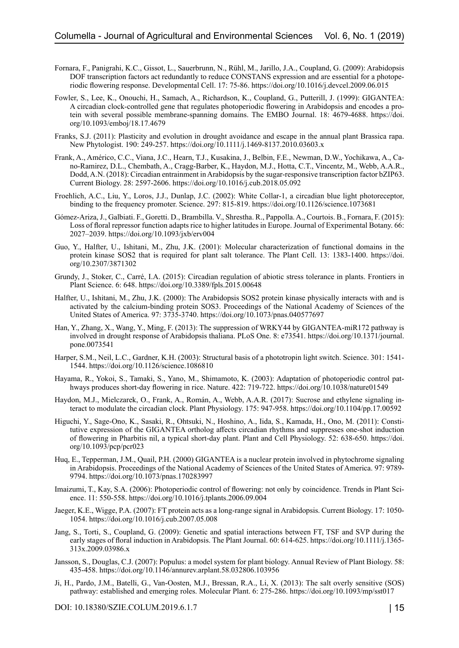- Fornara, F., Panigrahi, K.C., Gissot, L., Sauerbrunn, N., Rühl, M., Jarillo, J.A., Coupland, G. (2009): Arabidopsis DOF transcription factors act redundantly to reduce CONSTANS expression and are essential for a photoperiodic flowering response. Developmental Cell. 17: 75-86. https://doi.org/10.1016/j.devcel.2009.06.015
- Fowler, S., Lee, K., Onouchi, H., Samach, A., Richardson, K., Coupland, G., Putterill, J. (1999): GIGANTEA: A circadian clock-controlled gene that regulates photoperiodic flowering in Arabidopsis and encodes a protein with several possible membrane-spanning domains. The EMBO Journal. 18: 4679-4688. https://doi. org/10.1093/emboj/18.17.4679
- Franks, S.J. (2011): Plasticity and evolution in drought avoidance and escape in the annual plant Brassica rapa. New Phytologist. 190: 249-257. https://doi.org/10.1111/j.1469-8137.2010.03603.x
- Frank, A., Américo, C.C., Viana, J.C., Hearn, T.J., Kusakina, J., Belbin, F.E., Newman, D.W., Yochikawa, A., Cano-Ramirez, D.L., Chembath, A., Cragg-Barber, K., Haydon, M.J., Hotta, C.T., Vincentz, M., Webb, A.A.R., Dodd, A.N. (2018): Circadian entrainment in Arabidopsis by the sugar-responsive transcription factor bZIP63. Current Biology. 28: 2597-2606. https://doi.org/10.1016/j.cub.2018.05.092
- Froehlich, A.C., Liu, Y., Loros, J.J., Dunlap, J.C. (2002): White Collar-1, a circadian blue light photoreceptor, binding to the frequency promoter. Science. 297: 815-819. https://doi.org/10.1126/science.1073681
- Gómez-Ariza, J., Galbiati. F., Goretti. D., Brambilla. V., Shrestha. R., Pappolla. A., Courtois. B., Fornara, F. (2015): Loss of floral repressor function adapts rice to higher latitudes in Europe. Journal of Experimental Botany. 66: 2027–2039. https://doi.org/10.1093/jxb/erv004
- Guo, Y., Halfter, U., Ishitani, M., Zhu, J.K. (2001): Molecular characterization of functional domains in the protein kinase SOS2 that is required for plant salt tolerance. The Plant Cell. 13: 1383-1400. https://doi. org/10.2307/3871302
- Grundy, J., Stoker, C., Carré, I.A. (2015): Circadian regulation of abiotic stress tolerance in plants. Frontiers in Plant Science. 6: 648. https://doi.org/10.3389/fpls.2015.00648
- Halfter, U., Ishitani, M., Zhu, J.K. (2000): The Arabidopsis SOS2 protein kinase physically interacts with and is activated by the calcium-binding protein SOS3. Proceedings of the National Academy of Sciences of the United States of America. 97: 3735-3740. https://doi.org/10.1073/pnas.040577697
- Han, Y., Zhang, X., Wang, Y., Ming, F. (2013): The suppression of WRKY44 by GIGANTEA-miR172 pathway is involved in drought response of Arabidopsis thaliana. PLoS One. 8: e73541. https://doi.org/10.1371/journal. pone.0073541
- Harper, S.M., Neil, L.C., Gardner, K.H. (2003): Structural basis of a phototropin light switch. Science. 301: 1541- 1544. https://doi.org/10.1126/science.1086810
- Hayama, R., Yokoi, S., Tamaki, S., Yano, M., Shimamoto, K. (2003): Adaptation of photoperiodic control pathways produces short-day flowering in rice. Nature. 422: 719-722. https://doi.org/10.1038/nature01549
- Haydon, M.J., Mielczarek, O., Frank, A., Román, A., Webb, A.A.R. (2017): Sucrose and ethylene signaling interact to modulate the circadian clock. Plant Physiology. 175: 947-958. https://doi.org/10.1104/pp.17.00592
- Higuchi, Y., Sage-Ono, K., Sasaki, R., Ohtsuki, N., Hoshino, A., Iida, S., Kamada, H., Ono, M. (2011): Constitutive expression of the GIGANTEA ortholog affects circadian rhythms and suppresses one-shot induction of flowering in Pharbitis nil, a typical short-day plant. Plant and Cell Physiology. 52: 638-650. https://doi. org/10.1093/pcp/pcr023
- Huq, E., Tepperman, J.M., Quail, P.H. (2000) GIGANTEA is a nuclear protein involved in phytochrome signaling in Arabidopsis. Proceedings of the National Academy of Sciences of the United States of America. 97: 9789- 9794. https://doi.org/10.1073/pnas.170283997
- Imaizumi, T., Kay, S.A. (2006): Photoperiodic control of flowering: not only by coincidence. Trends in Plant Science. 11: 550-558. https://doi.org/10.1016/j.tplants.2006.09.004
- Jaeger, K.E., Wigge, P.A. (2007): FT protein acts as a long-range signal in Arabidopsis. Current Biology. 17: 1050- 1054. https://doi.org/10.1016/j.cub.2007.05.008
- Jang, S., Torti, S., Coupland, G. (2009): Genetic and spatial interactions between FT, TSF and SVP during the early stages of floral induction in Arabidopsis. The Plant Journal. 60: 614-625. https://doi.org/10.1111/j.1365- 313x.2009.03986.x
- Jansson, S., Douglas, C.J. (2007): Populus: a model system for plant biology. Annual Review of Plant Biology. 58: 435-458. https://doi.org/10.1146/annurev.arplant.58.032806.103956
- Ji, H., Pardo, J.M., Batelli, G., Van-Oosten, M.J., Bressan, R.A., Li, X. (2013): The salt overly sensitive (SOS) pathway: established and emerging roles. Molecular Plant. 6: 275-286. https://doi.org/10.1093/mp/sst017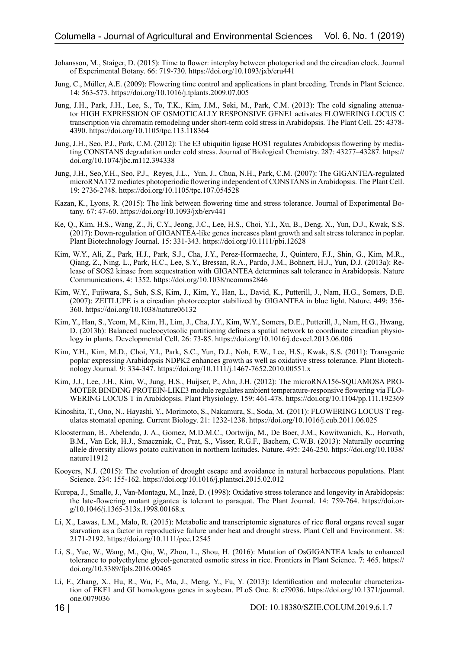- Johansson, M., Staiger, D. (2015): Time to flower: interplay between photoperiod and the circadian clock. Journal of Experimental Botany. 66: 719-730. https://doi.org/10.1093/jxb/eru441
- Jung, C., Müller, A.E. (2009): Flowering time control and applications in plant breeding. Trends in Plant Science. 14: 563-573. https://doi.org/10.1016/j.tplants.2009.07.005
- Jung, J.H., Park, J.H., Lee, S., To, T.K., Kim, J.M., Seki, M., Park, C.M. (2013): The cold signaling attenuator HIGH EXPRESSION OF OSMOTICALLY RESPONSIVE GENE1 activates FLOWERING LOCUS C transcription via chromatin remodeling under short-term cold stress in Arabidopsis. The Plant Cell. 25: 4378- 4390. https://doi.org/10.1105/tpc.113.118364
- Jung, J.H., Seo, P.J., Park, C.M. (2012): The E3 ubiquitin ligase HOS1 regulates Arabidopsis flowering by mediating CONSTANS degradation under cold stress. Journal of Biological Chemistry. 287: 43277–43287. https:// doi.org/10.1074/jbc.m112.394338
- Jung, J.H., Seo,Y.H., Seo, P.J., Reyes, J.L., Yun, J., Chua, N.H., Park, C.M. (2007): The GIGANTEA-regulated microRNA172 mediates photoperiodic flowering independent of CONSTANS in Arabidopsis. The Plant Cell. 19: 2736-2748. https://doi.org/10.1105/tpc.107.054528
- Kazan, K., Lyons, R. (2015): The link between flowering time and stress tolerance. Journal of Experimental Botany. 67: 47-60. https://doi.org/10.1093/jxb/erv441
- Ke, Q., Kim, H.S., Wang, Z., Ji, C.Y., Jeong, J.C., Lee, H.S., Choi, Y.I., Xu, B., Deng, X., Yun, D.J., Kwak, S.S. (2017): Down‐regulation of GIGANTEA‐like genes increases plant growth and salt stress tolerance in poplar. Plant Biotechnology Journal. 15: 331-343. https://doi.org/10.1111/pbi.12628
- Kim, W.Y., Ali, Z., Park, H.J., Park, S.J., Cha, J.Y., Perez-Hormaeche, J., Quintero, F.J., Shin, G., Kim, M.R., Qiang, Z., Ning, L., Park, H.C., Lee, S.Y., Bressan, R.A., Pardo, J.M., Bohnert, H.J., Yun, D.J. (2013a): Release of SOS2 kinase from sequestration with GIGANTEA determines salt tolerance in Arabidopsis. Nature Communications. 4: 1352. https://doi.org/10.1038/ncomms2846
- Kim, W.Y., Fujiwara, S., Suh, S.S, Kim, J., Kim, Y., Han, L., David, K., Putterill, J., Nam, H.G., Somers, D.E. (2007): ZEITLUPE is a circadian photoreceptor stabilized by GIGANTEA in blue light. Nature. 449: 356- 360. https://doi.org/10.1038/nature06132
- Kim, Y., Han, S., Yeom, M., Kim, H., Lim, J., Cha, J.Y., Kim, W.Y., Somers, D.E., Putterill, J., Nam, H.G., Hwang, D. (2013b): Balanced nucleocytosolic partitioning defines a spatial network to coordinate circadian physiology in plants. Developmental Cell. 26: 73-85. https://doi.org/10.1016/j.devcel.2013.06.006
- Kim, Y.H., Kim, M.D., Choi, Y.I., Park, S.C., Yun, D.J., Noh, E.W., Lee, H.S., Kwak, S.S. (2011): Transgenic poplar expressing Arabidopsis NDPK2 enhances growth as well as oxidative stress tolerance. Plant Biotechnology Journal. 9: 334-347. https://doi.org/10.1111/j.1467-7652.2010.00551.x
- Kim, J.J., Lee, J.H., Kim, W., Jung, H.S., Huijser, P., Ahn, J.H. (2012): The microRNA156-SQUAMOSA PRO-MOTER BINDING PROTEIN-LIKE3 module regulates ambient temperature-responsive flowering via FLO-WERING LOCUS T in Arabidopsis. Plant Physiology. 159: 461-478. https://doi.org/10.1104/pp.111.192369
- Kinoshita, T., Ono, N., Hayashi, Y., Morimoto, S., Nakamura, S., Soda, M. (2011): FLOWERING LOCUS T regulates stomatal opening. Current Biology. 21: 1232-1238. https://doi.org/10.1016/j.cub.2011.06.025
- Kloosterman, B., Abelenda, J. A., Gomez, M.D.M.C., Oortwijn, M., De Boer, J.M., Kowitwanich, K., Horvath, B.M., Van Eck, H.J., Smaczniak, C., Prat, S., Visser, R.G.F., Bachem, C.W.B. (2013): Naturally occurring allele diversity allows potato cultivation in northern latitudes. Nature. 495: 246-250. https://doi.org/10.1038/ nature11912
- Kooyers, N.J. (2015): The evolution of drought escape and avoidance in natural herbaceous populations. Plant Science. 234: 155-162. https://doi.org/10.1016/j.plantsci.2015.02.012
- Kurepa, J., Smalle, J., Van-Montagu, M., Inzé, D. (1998): Oxidative stress tolerance and longevity in Arabidopsis: the late-flowering mutant gigantea is tolerant to paraquat. The Plant Journal. 14: 759-764. https://doi.org/10.1046/j.1365-313x.1998.00168.x
- Li, X., Lawas, L.M., Malo, R. (2015): Metabolic and transcriptomic signatures of rice floral organs reveal sugar starvation as a factor in reproductive failure under heat and drought stress. Plant Cell and Environment. 38: 2171-2192. https://doi.org/10.1111/pce.12545
- Li, S., Yue, W., Wang, M., Qiu, W., Zhou, L., Shou, H. (2016): Mutation of OsGIGANTEA leads to enhanced tolerance to polyethylene glycol-generated osmotic stress in rice. Frontiers in Plant Science. 7: 465. https:// doi.org/10.3389/fpls.2016.00465
- Li, F., Zhang, X., Hu, R., Wu, F., Ma, J., Meng, Y., Fu, Y. (2013): Identification and molecular characterization of FKF1 and GI homologous genes in soybean. PLoS One. 8: e79036. https://doi.org/10.1371/journal. one.0079036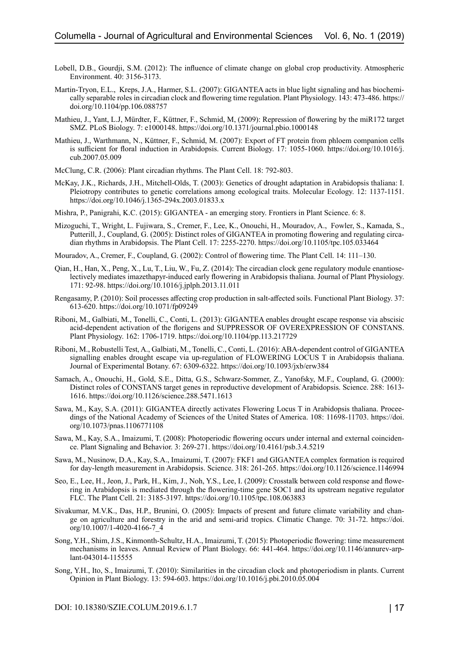- Lobell, D.B., Gourdji, S.M. (2012): The influence of climate change on global crop productivity. Atmospheric Environment. 40: 3156-3173.
- Martin-Tryon, E.L., Kreps, J.A., Harmer, S.L. (2007): GIGANTEA acts in blue light signaling and has biochemically separable roles in circadian clock and flowering time regulation. Plant Physiology. 143: 473-486. https:// doi.org/10.1104/pp.106.088757
- Mathieu, J., Yant, L.J, Mürdter, F., Küttner, F., Schmid, M, (2009): Repression of flowering by the miR172 target SMZ. PLoS Biology. 7: e1000148. https://doi.org/10.1371/journal.pbio.1000148
- Mathieu, J., Warthmann, N., Küttner, F., Schmid, M. (2007): Export of FT protein from phloem companion cells is sufficient for floral induction in Arabidopsis. Current Biology. 17: 1055-1060. https://doi.org/10.1016/j. cub.2007.05.009
- McClung, C.R. (2006): Plant circadian rhythms. The Plant Cell. 18: 792-803.
- McKay, J.K., Richards, J.H., Mitchell-Olds, T. (2003): Genetics of drought adaptation in Arabidopsis thaliana: I. Pleiotropy contributes to genetic correlations among ecological traits. Molecular Ecology. 12: 1137-1151. https://doi.org/10.1046/j.1365-294x.2003.01833.x
- Mishra, P., Panigrahi, K.C. (2015): GIGANTEA an emerging story. Frontiers in Plant Science. 6: 8.
- Mizoguchi, T., Wright, L. Fujiwara, S., Cremer, F., Lee, K., Onouchi, H., Mouradov, A., Fowler, S., Kamada, S., Putterill, J., Coupland, G. (2005): Distinct roles of GIGANTEA in promoting flowering and regulating circadian rhythms in Arabidopsis. The Plant Cell. 17: 2255-2270. https://doi.org/10.1105/tpc.105.033464
- Mouradov, A., Cremer, F., Coupland, G. (2002): Control of flowering time. The Plant Cell. 14: 111–130.
- Qian, H., Han, X., Peng, X., Lu, T., Liu, W., Fu, Z. (2014): The circadian clock gene regulatory module enantioselectively mediates imazethapyr-induced early flowering in Arabidopsis thaliana. Journal of Plant Physiology. 171: 92-98. https://doi.org/10.1016/j.jplph.2013.11.011
- Rengasamy, P. (2010): Soil processes affecting crop production in salt-affected soils. Functional Plant Biology. 37: 613-620. https://doi.org/10.1071/fp09249
- Riboni, M., Galbiati, M., Tonelli, C., Conti, L. (2013): GIGANTEA enables drought escape response via abscisic acid-dependent activation of the florigens and SUPPRESSOR OF OVEREXPRESSION OF CONSTANS. Plant Physiology. 162: 1706-1719. https://doi.org/10.1104/pp.113.217729
- Riboni, M., Robustelli Test, A., Galbiati, M., Tonelli, C., Conti, L. (2016): ABA-dependent control of GIGANTEA signalling enables drought escape via up-regulation of FLOWERING LOCUS T in Arabidopsis thaliana. Journal of Experimental Botany. 67: 6309-6322. https://doi.org/10.1093/jxb/erw384
- Samach, A., Onouchi, H., Gold, S.E., Ditta, G.S., Schwarz-Sommer, Z., Yanofsky, M.F., Coupland, G. (2000): Distinct roles of CONSTANS target genes in reproductive development of Arabidopsis. Science. 288: 1613- 1616. https://doi.org/10.1126/science.288.5471.1613
- Sawa, M., Kay, S.A. (2011): GIGANTEA directly activates Flowering Locus T in Arabidopsis thaliana. Proceedings of the National Academy of Sciences of the United States of America. 108: 11698-11703. https://doi. org/10.1073/pnas.1106771108
- Sawa, M., Kay, S.A., Imaizumi, T. (2008): Photoperiodic flowering occurs under internal and external coincidence. Plant Signaling and Behavior. 3: 269-271. https://doi.org/10.4161/psb.3.4.5219
- Sawa, M., Nusinow, D.A., Kay, S.A., Imaizumi, T. (2007): FKF1 and GIGANTEA complex formation is required for day-length measurement in Arabidopsis. Science. 318: 261-265. https://doi.org/10.1126/science.1146994
- Seo, E., Lee, H., Jeon, J., Park, H., Kim, J., Noh, Y.S., Lee, I. (2009): Crosstalk between cold response and flowering in Arabidopsis is mediated through the flowering-time gene SOC1 and its upstream negative regulator FLC. The Plant Cell. 21: 3185-3197. https://doi.org/10.1105/tpc.108.063883
- Sivakumar, M.V.K., Das, H.P., Brunini, O. (2005): Impacts of present and future climate variability and change on agriculture and forestry in the arid and semi-arid tropics. Climatic Change. 70: 31-72. https://doi. org/10.1007/1-4020-4166-7\_4
- Song, Y.H., Shim, J.S., Kinmonth-Schultz, H.A., Imaizumi, T. (2015): Photoperiodic flowering: time measurement mechanisms in leaves. Annual Review of Plant Biology. 66: 441-464. https://doi.org/10.1146/annurev-arplant-043014-115555
- Song, Y.H., Ito, S., Imaizumi, T. (2010): Similarities in the circadian clock and photoperiodism in plants. Current Opinion in Plant Biology. 13: 594-603. https://doi.org/10.1016/j.pbi.2010.05.004